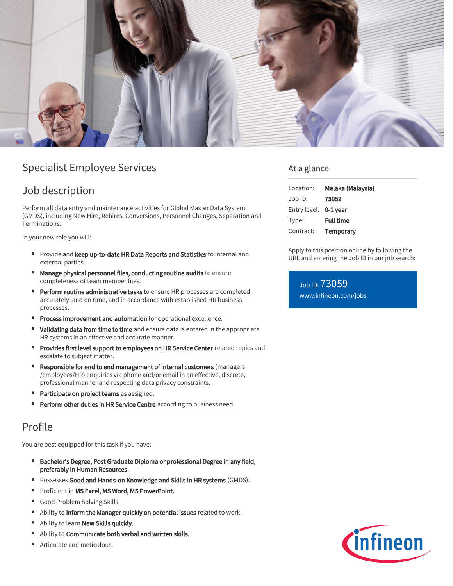

## Specialist Employee Services

### Job description

Perform all data entry and maintenance activities for Global Master Data System (GMDS), including New Hire, Rehires, Conversions, Personnel Changes, Separation and Terminations.

In your new role you will:

- **Provide and keep up-to-date HR Data Reports and Statistics to internal and** external parties.
- Manage physical personnel files, conducting routine audits to ensure completeness of team member files.
- Perform routine administrative tasks to ensure HR processes are completed accurately, and on time, and in accordance with established HR business processes.
- **Process improvement and automation** for operational excellence.
- Validating data from time to time and ensure data is entered in the appropriate HR systems in an effective and accurate manner.
- **Provides first level support to employees on HR Service Center** related topics and escalate to subject matter.
- Responsible for end to end management of internal customers (managers /employees/HR) enquiries via phone and/or email in an effective, discrete, professional manner and respecting data privacy constraints.
- Participate on project teams as assigned.
- Perform other duties in HR Service Centre according to business need.

## Profile

You are best equipped for this task if you have:

- Bachelor's Degree, Post Graduate Diploma or professional Degree in any field,  $\bullet$ preferably in Human Resources.
- **Possesses Good and Hands-on Knowledge and Skills in HR systems** (GMDS).
- **•** Proficient in MS Excel, MS Word, MS PowerPoint.
- Good Problem Solving Skills. ٠
- $\bullet$ Ability to inform the Manager quickly on potential issues related to work.
- Ability to learn New Skills quickly.
- Ability to Communicate both verbal and written skills.
- Articulate and meticulous.

### At a glance

| Location:             | Melaka (Malaysia) |
|-----------------------|-------------------|
| Job ID:               | 73059             |
| Entry level: 0-1 year |                   |
| Type:                 | <b>Full time</b>  |
| Contract:             | Temporary         |

Apply to this position online by following the URL and entering the Job ID in our job search:

Job ID: 73059 [www.infineon.com/jobs](https://www.infineon.com/jobs)